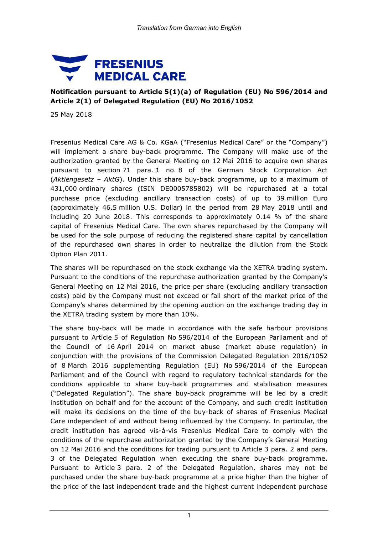

## **Notification pursuant to Article 5(1)(a) of Regulation (EU) No 596/2014 and Article 2(1) of Delegated Regulation (EU) No 2016/1052**

25 May 2018

Fresenius Medical Care AG & Co. KGaA ("Fresenius Medical Care" or the "Company") will implement a share buy-back programme. The Company will make use of the authorization granted by the General Meeting on 12 Mai 2016 to acquire own shares pursuant to section 71 para. 1 no. 8 of the German Stock Corporation Act (*Aktiengesetz – AktG*). Under this share buy-back programme, up to a maximum of 431,000 ordinary shares (ISIN DE0005785802) will be repurchased at a total purchase price (excluding ancillary transaction costs) of up to 39 million Euro (approximately 46.5 million U.S. Dollar) in the period from 28 May 2018 until and including 20 June 2018. This corresponds to approximately 0.14 % of the share capital of Fresenius Medical Care. The own shares repurchased by the Company will be used for the sole purpose of reducing the registered share capital by cancellation of the repurchased own shares in order to neutralize the dilution from the Stock Option Plan 2011.

The shares will be repurchased on the stock exchange via the XETRA trading system. Pursuant to the conditions of the repurchase authorization granted by the Company's General Meeting on 12 Mai 2016, the price per share (excluding ancillary transaction costs) paid by the Company must not exceed or fall short of the market price of the Company's shares determined by the opening auction on the exchange trading day in the XETRA trading system by more than 10%.

The share buy-back will be made in accordance with the safe harbour provisions pursuant to Article 5 of Regulation No 596/2014 of the European Parliament and of the Council of 16 April 2014 on market abuse (market abuse regulation) in conjunction with the provisions of the Commission Delegated Regulation 2016/1052 of 8 March 2016 supplementing Regulation (EU) No 596/2014 of the European Parliament and of the Council with regard to regulatory technical standards for the conditions applicable to share buy-back programmes and stabilisation measures ("Delegated Regulation"). The share buy-back programme will be led by a credit institution on behalf and for the account of the Company, and such credit institution will make its decisions on the time of the buy-back of shares of Fresenius Medical Care independent of and without being influenced by the Company. In particular, the credit institution has agreed vis-à-vis Fresenius Medical Care to comply with the conditions of the repurchase authorization granted by the Company's General Meeting on 12 Mai 2016 and the conditions for trading pursuant to Article 3 para. 2 and para. 3 of the Delegated Regulation when executing the share buy-back programme. Pursuant to Article 3 para. 2 of the Delegated Regulation, shares may not be purchased under the share buy-back programme at a price higher than the higher of the price of the last independent trade and the highest current independent purchase